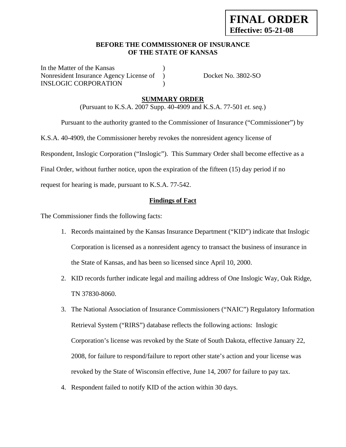#### **BEFORE THE COMMISSIONER OF INSURANCE OF THE STATE OF KANSAS**

In the Matter of the Kansas Nonresident Insurance Agency License of ) Docket No. 3802-SO INSLOGIC CORPORATION  $)$ 

### **SUMMARY ORDER**

(Pursuant to K.S.A. 2007 Supp. 40-4909 and K.S.A. 77-501 *et. seq.*)

Pursuant to the authority granted to the Commissioner of Insurance ("Commissioner") by

K.S.A. 40-4909, the Commissioner hereby revokes the nonresident agency license of

Respondent, Inslogic Corporation ("Inslogic"). This Summary Order shall become effective as a

Final Order, without further notice, upon the expiration of the fifteen (15) day period if no

request for hearing is made, pursuant to K.S.A. 77-542.

### **Findings of Fact**

The Commissioner finds the following facts:

- 1. Records maintained by the Kansas Insurance Department ("KID") indicate that Inslogic Corporation is licensed as a nonresident agency to transact the business of insurance in the State of Kansas, and has been so licensed since April 10, 2000.
- 2. KID records further indicate legal and mailing address of One Inslogic Way, Oak Ridge, TN 37830-8060.
- 3. The National Association of Insurance Commissioners ("NAIC") Regulatory Information Retrieval System ("RIRS") database reflects the following actions: Inslogic Corporation's license was revoked by the State of South Dakota, effective January 22, 2008, for failure to respond/failure to report other state's action and your license was revoked by the State of Wisconsin effective, June 14, 2007 for failure to pay tax.
- 4. Respondent failed to notify KID of the action within 30 days.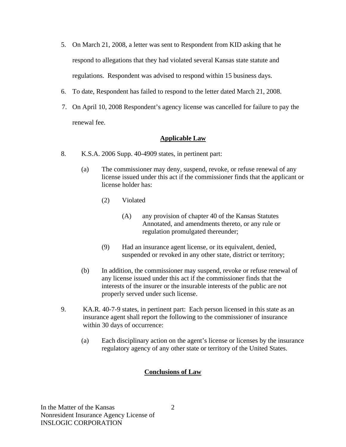- 5. On March 21, 2008, a letter was sent to Respondent from KID asking that he respond to allegations that they had violated several Kansas state statute and regulations. Respondent was advised to respond within 15 business days.
- 6. To date, Respondent has failed to respond to the letter dated March 21, 2008.
- 7. On April 10, 2008 Respondent's agency license was cancelled for failure to pay the renewal fee.

# **Applicable Law**

- 8. K.S.A. 2006 Supp. 40-4909 states, in pertinent part:
	- (a) The commissioner may deny, suspend, revoke, or refuse renewal of any license issued under this act if the commissioner finds that the applicant or license holder has:
		- (2) Violated
			- (A) any provision of chapter 40 of the Kansas Statutes Annotated, and amendments thereto, or any rule or regulation promulgated thereunder;
		- (9) Had an insurance agent license, or its equivalent, denied, suspended or revoked in any other state, district or territory;
	- (b) In addition, the commissioner may suspend, revoke or refuse renewal of any license issued under this act if the commissioner finds that the interests of the insurer or the insurable interests of the public are not properly served under such license.
- 9. KA.R. 40-7-9 states, in pertinent part: Each person licensed in this state as an insurance agent shall report the following to the commissioner of insurance within 30 days of occurrence:
	- (a) Each disciplinary action on the agent's license or licenses by the insurance regulatory agency of any other state or territory of the United States.

### **Conclusions of Law**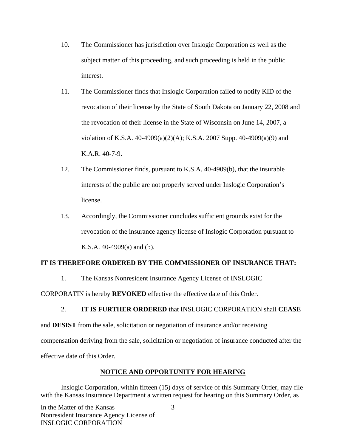- 10. The Commissioner has jurisdiction over Inslogic Corporation as well as the subject matter of this proceeding, and such proceeding is held in the public interest.
- 11. The Commissioner finds that Inslogic Corporation failed to notify KID of the revocation of their license by the State of South Dakota on January 22, 2008 and the revocation of their license in the State of Wisconsin on June 14, 2007, a violation of K.S.A. 40-4909(a)(2)(A); K.S.A. 2007 Supp. 40-4909(a)(9) and K.A.R. 40-7-9.
- 12. The Commissioner finds, pursuant to K.S.A. 40-4909(b), that the insurable interests of the public are not properly served under Inslogic Corporation's license.
- 13. Accordingly, the Commissioner concludes sufficient grounds exist for the revocation of the insurance agency license of Inslogic Corporation pursuant to K.S.A. 40-4909(a) and (b).

### **IT IS THEREFORE ORDERED BY THE COMMISSIONER OF INSURANCE THAT:**

1. The Kansas Nonresident Insurance Agency License of INSLOGIC

CORPORATIN is hereby **REVOKED** effective the effective date of this Order.

2. **IT IS FURTHER ORDERED** that INSLOGIC CORPORATION shall **CEASE**  and **DESIST** from the sale, solicitation or negotiation of insurance and/or receiving compensation deriving from the sale, solicitation or negotiation of insurance conducted after the effective date of this Order.

# **NOTICE AND OPPORTUNITY FOR HEARING**

Inslogic Corporation, within fifteen (15) days of service of this Summary Order, may file with the Kansas Insurance Department a written request for hearing on this Summary Order, as

In the Matter of the Kansas Nonresident Insurance Agency License of INSLOGIC CORPORATION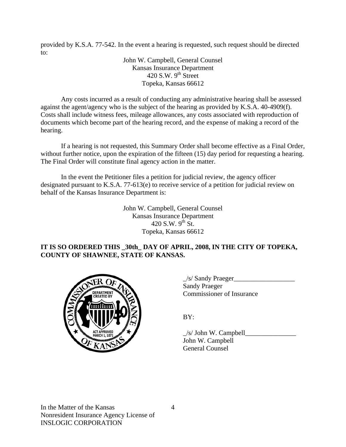provided by K.S.A. 77-542. In the event a hearing is requested, such request should be directed to:

> John W. Campbell, General Counsel Kansas Insurance Department  $420$  S.W. 9<sup>th</sup> Street Topeka, Kansas 66612

Any costs incurred as a result of conducting any administrative hearing shall be assessed against the agent/agency who is the subject of the hearing as provided by K.S.A. 40-4909(f). Costs shall include witness fees, mileage allowances, any costs associated with reproduction of documents which become part of the hearing record, and the expense of making a record of the hearing.

If a hearing is not requested, this Summary Order shall become effective as a Final Order, without further notice, upon the expiration of the fifteen (15) day period for requesting a hearing. The Final Order will constitute final agency action in the matter.

In the event the Petitioner files a petition for judicial review, the agency officer designated pursuant to K.S.A. 77-613(e) to receive service of a petition for judicial review on behalf of the Kansas Insurance Department is:

> John W. Campbell, General Counsel Kansas Insurance Department 420 S.W.  $9^{th}$  St. Topeka, Kansas 66612

### **IT IS SO ORDERED THIS \_30th\_ DAY OF APRIL, 2008, IN THE CITY OF TOPEKA, COUNTY OF SHAWNEE, STATE OF KANSAS.**



 $\angle$ s/ Sandy Praeger $\angle$  Sandy Praeger EPARTMENT VAN Commissioner of Insurance

 $\angle$ s/ John W. Campbell John W. Campbell General Counsel

In the Matter of the Kansas Nonresident Insurance Agency License of INSLOGIC CORPORATION